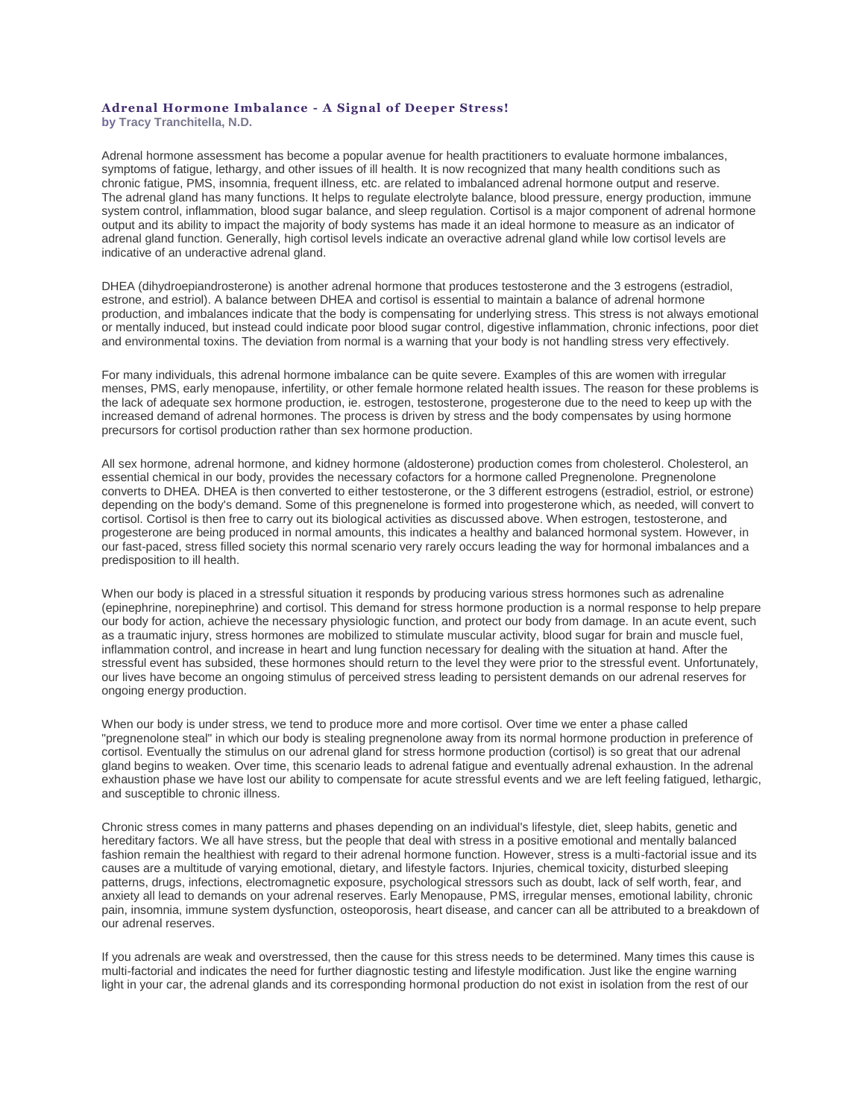## **Adrenal Hormone Imbalance - A Signal of Deeper Stress!**

**by [Tracy Tranchitella, N.D.](https://web.archive.org/web/20150512100344/http:/www.biohealthinfo.com/html/resources/doctorbios.html#tracy)**

Adrenal hormone assessment has become a popular avenue for health practitioners to evaluate hormone imbalances, symptoms of fatigue, lethargy, and other issues of ill health. It is now recognized that many health conditions such as chronic fatigue, PMS, insomnia, frequent illness, etc. are related to imbalanced adrenal hormone output and reserve. The adrenal gland has many functions. It helps to regulate electrolyte balance, blood pressure, energy production, immune system control, inflammation, blood sugar balance, and sleep regulation. Cortisol is a major component of adrenal hormone output and its ability to impact the majority of body systems has made it an ideal hormone to measure as an indicator of adrenal gland function. Generally, high cortisol levels indicate an overactive adrenal gland while low cortisol levels are indicative of an underactive adrenal gland.

DHEA (dihydroepiandrosterone) is another adrenal hormone that produces testosterone and the 3 estrogens (estradiol, estrone, and estriol). A balance between DHEA and cortisol is essential to maintain a balance of adrenal hormone production, and imbalances indicate that the body is compensating for underlying stress. This stress is not always emotional or mentally induced, but instead could indicate poor blood sugar control, digestive inflammation, chronic infections, poor diet and environmental toxins. The deviation from normal is a warning that your body is not handling stress very effectively.

For many individuals, this adrenal hormone imbalance can be quite severe. Examples of this are women with irregular menses, PMS, early menopause, infertility, or other female hormone related health issues. The reason for these problems is the lack of adequate sex hormone production, ie. estrogen, testosterone, progesterone due to the need to keep up with the increased demand of adrenal hormones. The process is driven by stress and the body compensates by using hormone precursors for cortisol production rather than sex hormone production.

All sex hormone, adrenal hormone, and kidney hormone (aldosterone) production comes from cholesterol. Cholesterol, an essential chemical in our body, provides the necessary cofactors for a hormone called Pregnenolone. Pregnenolone converts to DHEA. DHEA is then converted to either testosterone, or the 3 different estrogens (estradiol, estriol, or estrone) depending on the body's demand. Some of this pregnenelone is formed into progesterone which, as needed, will convert to cortisol. Cortisol is then free to carry out its biological activities as discussed above. When estrogen, testosterone, and progesterone are being produced in normal amounts, this indicates a healthy and balanced hormonal system. However, in our fast-paced, stress filled society this normal scenario very rarely occurs leading the way for hormonal imbalances and a predisposition to ill health.

When our body is placed in a stressful situation it responds by producing various stress hormones such as adrenaline (epinephrine, norepinephrine) and cortisol. This demand for stress hormone production is a normal response to help prepare our body for action, achieve the necessary physiologic function, and protect our body from damage. In an acute event, such as a traumatic injury, stress hormones are mobilized to stimulate muscular activity, blood sugar for brain and muscle fuel, inflammation control, and increase in heart and lung function necessary for dealing with the situation at hand. After the stressful event has subsided, these hormones should return to the level they were prior to the stressful event. Unfortunately, our lives have become an ongoing stimulus of perceived stress leading to persistent demands on our adrenal reserves for ongoing energy production.

When our body is under stress, we tend to produce more and more cortisol. Over time we enter a phase called "pregnenolone steal" in which our body is stealing pregnenolone away from its normal hormone production in preference of cortisol. Eventually the stimulus on our adrenal gland for stress hormone production (cortisol) is so great that our adrenal gland begins to weaken. Over time, this scenario leads to adrenal fatigue and eventually adrenal exhaustion. In the adrenal exhaustion phase we have lost our ability to compensate for acute stressful events and we are left feeling fatigued, lethargic, and susceptible to chronic illness.

Chronic stress comes in many patterns and phases depending on an individual's lifestyle, diet, sleep habits, genetic and hereditary factors. We all have stress, but the people that deal with stress in a positive emotional and mentally balanced fashion remain the healthiest with regard to their adrenal hormone function. However, stress is a multi-factorial issue and its causes are a multitude of varying emotional, dietary, and lifestyle factors. Injuries, chemical toxicity, disturbed sleeping patterns, drugs, infections, electromagnetic exposure, psychological stressors such as doubt, lack of self worth, fear, and anxiety all lead to demands on your adrenal reserves. Early Menopause, PMS, irregular menses, emotional lability, chronic pain, insomnia, immune system dysfunction, osteoporosis, heart disease, and cancer can all be attributed to a breakdown of our adrenal reserves.

If you adrenals are weak and overstressed, then the cause for this stress needs to be determined. Many times this cause is multi-factorial and indicates the need for further diagnostic testing and lifestyle modification. Just like the engine warning light in your car, the adrenal glands and its corresponding hormonal production do not exist in isolation from the rest of our